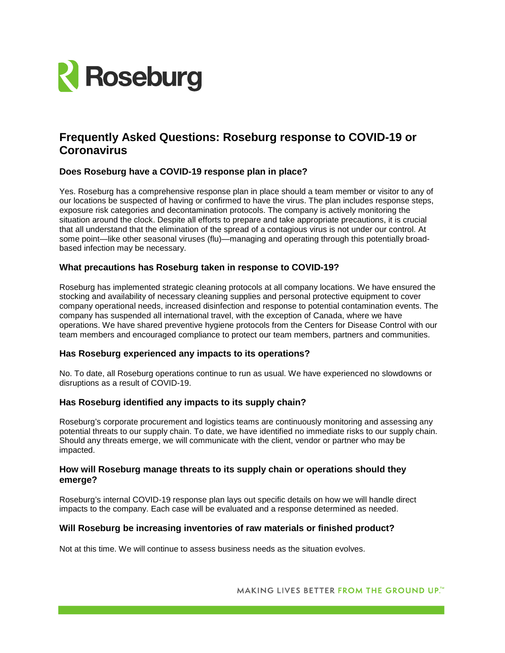

# **Frequently Asked Questions: Roseburg response to COVID-19 or Coronavirus**

# **Does Roseburg have a COVID-19 response plan in place?**

Yes. Roseburg has a comprehensive response plan in place should a team member or visitor to any of our locations be suspected of having or confirmed to have the virus. The plan includes response steps, exposure risk categories and decontamination protocols. The company is actively monitoring the situation around the clock. Despite all efforts to prepare and take appropriate precautions, it is crucial that all understand that the elimination of the spread of a contagious virus is not under our control. At some point—like other seasonal viruses (flu)—managing and operating through this potentially broadbased infection may be necessary.

# **What precautions has Roseburg taken in response to COVID-19?**

Roseburg has implemented strategic cleaning protocols at all company locations. We have ensured the stocking and availability of necessary cleaning supplies and personal protective equipment to cover company operational needs, increased disinfection and response to potential contamination events. The company has suspended all international travel, with the exception of Canada, where we have operations. We have shared preventive hygiene protocols from the Centers for Disease Control with our team members and encouraged compliance to protect our team members, partners and communities.

#### **Has Roseburg experienced any impacts to its operations?**

No. To date, all Roseburg operations continue to run as usual. We have experienced no slowdowns or disruptions as a result of COVID-19.

#### **Has Roseburg identified any impacts to its supply chain?**

Roseburg's corporate procurement and logistics teams are continuously monitoring and assessing any potential threats to our supply chain. To date, we have identified no immediate risks to our supply chain. Should any threats emerge, we will communicate with the client, vendor or partner who may be impacted.

#### **How will Roseburg manage threats to its supply chain or operations should they emerge?**

Roseburg's internal COVID-19 response plan lays out specific details on how we will handle direct impacts to the company. Each case will be evaluated and a response determined as needed.

#### **Will Roseburg be increasing inventories of raw materials or finished product?**

Not at this time. We will continue to assess business needs as the situation evolves.